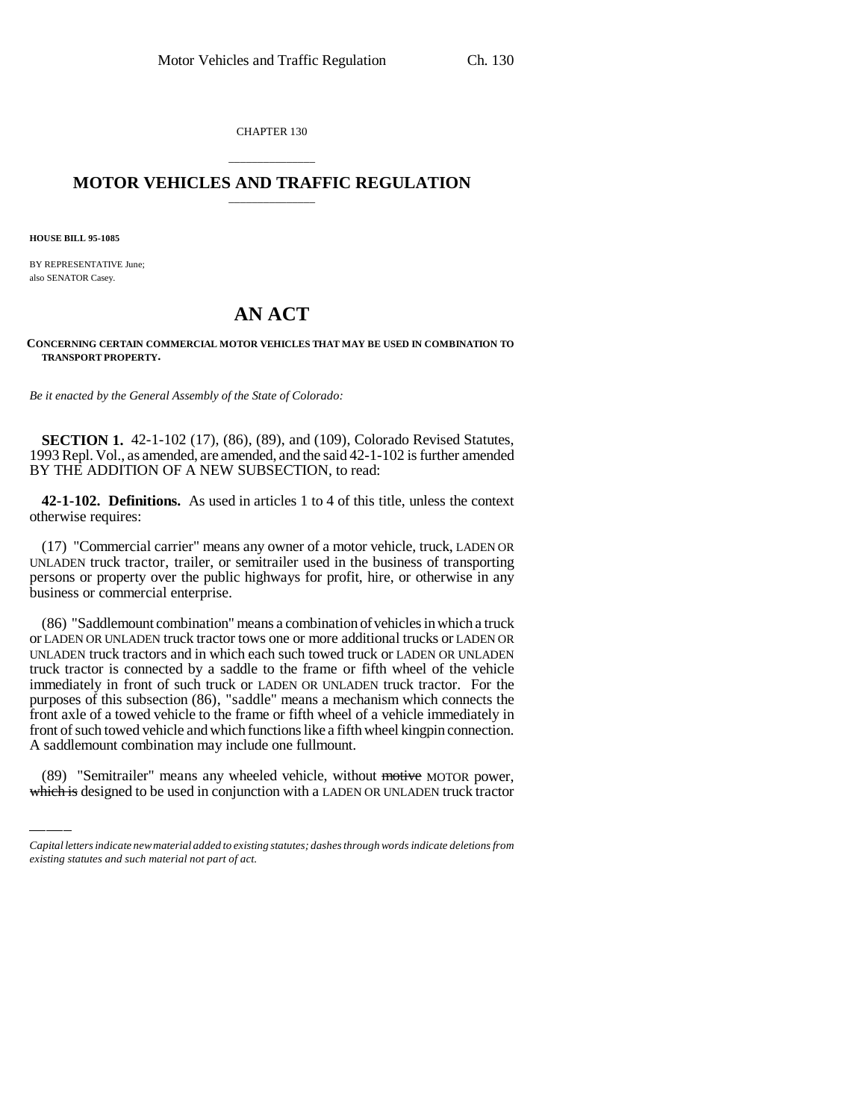CHAPTER 130

## \_\_\_\_\_\_\_\_\_\_\_\_\_\_\_ **MOTOR VEHICLES AND TRAFFIC REGULATION** \_\_\_\_\_\_\_\_\_\_\_\_\_\_\_

**HOUSE BILL 95-1085**

BY REPRESENTATIVE June; also SENATOR Casey.

## **AN ACT**

## **CONCERNING CERTAIN COMMERCIAL MOTOR VEHICLES THAT MAY BE USED IN COMBINATION TO TRANSPORT PROPERTY.**

*Be it enacted by the General Assembly of the State of Colorado:*

**SECTION 1.** 42-1-102 (17), (86), (89), and (109), Colorado Revised Statutes, 1993 Repl. Vol., as amended, are amended, and the said 42-1-102 is further amended BY THE ADDITION OF A NEW SUBSECTION, to read:

**42-1-102. Definitions.** As used in articles 1 to 4 of this title, unless the context otherwise requires:

(17) "Commercial carrier" means any owner of a motor vehicle, truck, LADEN OR UNLADEN truck tractor, trailer, or semitrailer used in the business of transporting persons or property over the public highways for profit, hire, or otherwise in any business or commercial enterprise.

front of such towed vehicle and which functions like a fifth wheel kingpin connection. (86) "Saddlemount combination" means a combination of vehicles in which a truck or LADEN OR UNLADEN truck tractor tows one or more additional trucks or LADEN OR UNLADEN truck tractors and in which each such towed truck or LADEN OR UNLADEN truck tractor is connected by a saddle to the frame or fifth wheel of the vehicle immediately in front of such truck or LADEN OR UNLADEN truck tractor. For the purposes of this subsection (86), "saddle" means a mechanism which connects the front axle of a towed vehicle to the frame or fifth wheel of a vehicle immediately in A saddlemount combination may include one fullmount.

(89) "Semitrailer" means any wheeled vehicle, without motive MOTOR power, which is designed to be used in conjunction with a LADEN OR UNLADEN truck tractor

*Capital letters indicate new material added to existing statutes; dashes through words indicate deletions from existing statutes and such material not part of act.*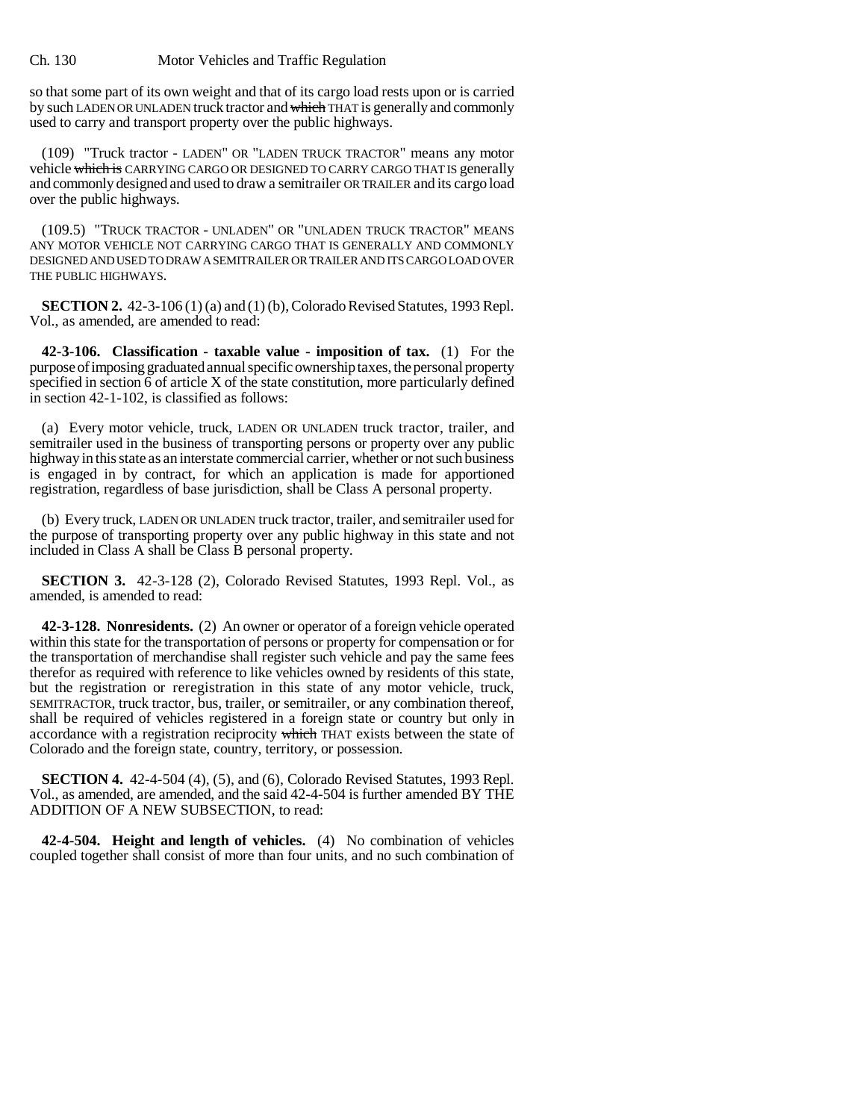## Ch. 130 Motor Vehicles and Traffic Regulation

so that some part of its own weight and that of its cargo load rests upon or is carried by such LADEN OR UNLADEN truck tractor and which THAT is generally and commonly used to carry and transport property over the public highways.

(109) "Truck tractor - LADEN" OR "LADEN TRUCK TRACTOR" means any motor vehicle which is CARRYING CARGO OR DESIGNED TO CARRY CARGO THAT IS generally and commonly designed and used to draw a semitrailer OR TRAILER and its cargo load over the public highways.

(109.5) "TRUCK TRACTOR - UNLADEN" OR "UNLADEN TRUCK TRACTOR" MEANS ANY MOTOR VEHICLE NOT CARRYING CARGO THAT IS GENERALLY AND COMMONLY DESIGNED AND USED TO DRAW A SEMITRAILER OR TRAILER AND ITS CARGO LOAD OVER THE PUBLIC HIGHWAYS.

**SECTION 2.** 42-3-106 (1) (a) and (1) (b), Colorado Revised Statutes, 1993 Repl. Vol., as amended, are amended to read:

**42-3-106. Classification - taxable value - imposition of tax.** (1) For the purpose of imposing graduated annual specific ownership taxes, the personal property specified in section 6 of article X of the state constitution, more particularly defined in section 42-1-102, is classified as follows:

(a) Every motor vehicle, truck, LADEN OR UNLADEN truck tractor, trailer, and semitrailer used in the business of transporting persons or property over any public highway in this state as an interstate commercial carrier, whether or not such business is engaged in by contract, for which an application is made for apportioned registration, regardless of base jurisdiction, shall be Class A personal property.

(b) Every truck, LADEN OR UNLADEN truck tractor, trailer, and semitrailer used for the purpose of transporting property over any public highway in this state and not included in Class A shall be Class B personal property.

**SECTION 3.** 42-3-128 (2), Colorado Revised Statutes, 1993 Repl. Vol., as amended, is amended to read:

**42-3-128. Nonresidents.** (2) An owner or operator of a foreign vehicle operated within this state for the transportation of persons or property for compensation or for the transportation of merchandise shall register such vehicle and pay the same fees therefor as required with reference to like vehicles owned by residents of this state, but the registration or reregistration in this state of any motor vehicle, truck, SEMITRACTOR, truck tractor, bus, trailer, or semitrailer, or any combination thereof, shall be required of vehicles registered in a foreign state or country but only in accordance with a registration reciprocity which THAT exists between the state of Colorado and the foreign state, country, territory, or possession.

**SECTION 4.** 42-4-504 (4), (5), and (6), Colorado Revised Statutes, 1993 Repl. Vol., as amended, are amended, and the said 42-4-504 is further amended BY THE ADDITION OF A NEW SUBSECTION, to read:

**42-4-504. Height and length of vehicles.** (4) No combination of vehicles coupled together shall consist of more than four units, and no such combination of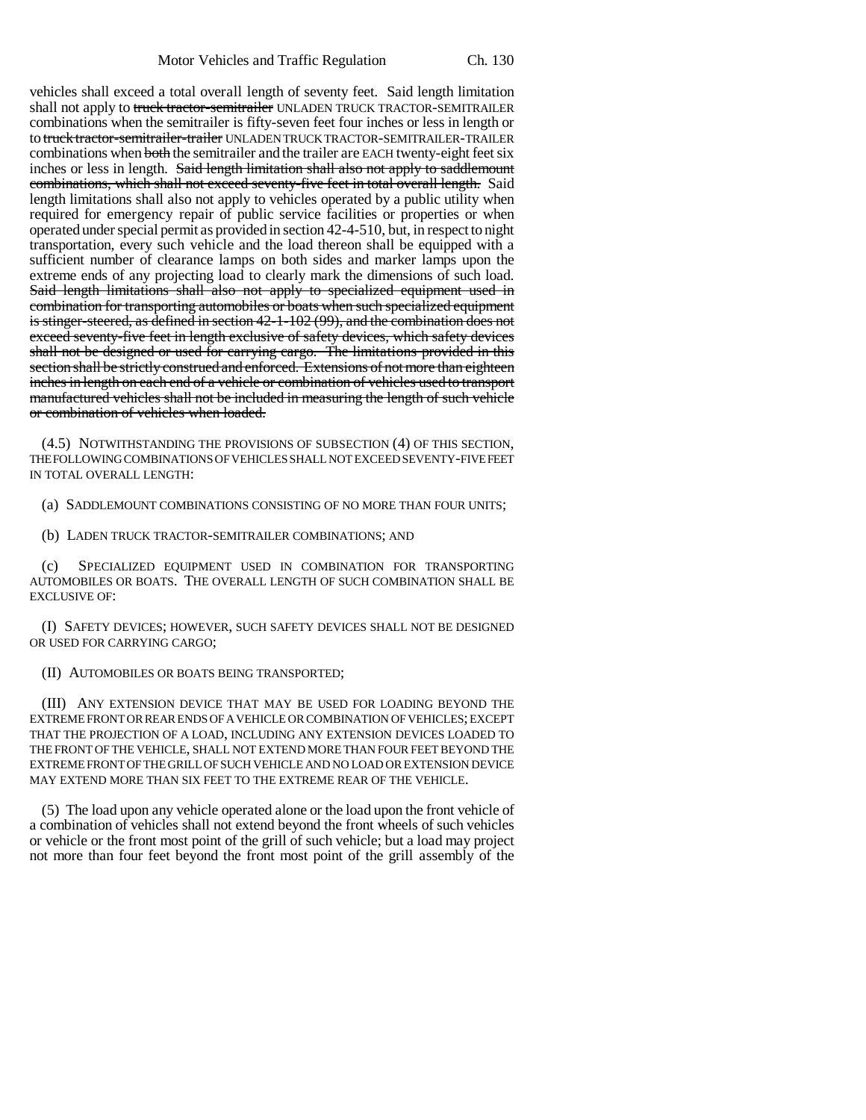vehicles shall exceed a total overall length of seventy feet. Said length limitation shall not apply to truck tractor-semitrailer UNLADEN TRUCK TRACTOR-SEMITRAILER combinations when the semitrailer is fifty-seven feet four inches or less in length or to truck tractor-semitrailer-trailer UNLADEN TRUCK TRACTOR-SEMITRAILER-TRAILER combinations when both the semitrailer and the trailer are EACH twenty-eight feet six inches or less in length. Said length limitation shall also not apply to saddlemount combinations, which shall not exceed seventy-five feet in total overall length. Said length limitations shall also not apply to vehicles operated by a public utility when required for emergency repair of public service facilities or properties or when operated under special permit as provided in section 42-4-510, but, in respect to night transportation, every such vehicle and the load thereon shall be equipped with a sufficient number of clearance lamps on both sides and marker lamps upon the extreme ends of any projecting load to clearly mark the dimensions of such load. Said length limitations shall also not apply to specialized equipment used in combination for transporting automobiles or boats when such specialized equipment is stinger-steered, as defined in section 42-1-102 (99), and the combination does not exceed seventy-five feet in length exclusive of safety devices, which safety devices shall not be designed or used for carrying cargo. The limitations provided in this section shall be strictly construed and enforced. Extensions of not more than eighteen inches in length on each end of a vehicle or combination of vehicles used to transport manufactured vehicles shall not be included in measuring the length of such vehicle or combination of vehicles when loaded.

(4.5) NOTWITHSTANDING THE PROVISIONS OF SUBSECTION (4) OF THIS SECTION, THE FOLLOWING COMBINATIONS OF VEHICLES SHALL NOT EXCEED SEVENTY-FIVE FEET IN TOTAL OVERALL LENGTH:

(a) SADDLEMOUNT COMBINATIONS CONSISTING OF NO MORE THAN FOUR UNITS;

(b) LADEN TRUCK TRACTOR-SEMITRAILER COMBINATIONS; AND

SPECIALIZED EQUIPMENT USED IN COMBINATION FOR TRANSPORTING AUTOMOBILES OR BOATS. THE OVERALL LENGTH OF SUCH COMBINATION SHALL BE EXCLUSIVE OF:

(I) SAFETY DEVICES; HOWEVER, SUCH SAFETY DEVICES SHALL NOT BE DESIGNED OR USED FOR CARRYING CARGO;

(II) AUTOMOBILES OR BOATS BEING TRANSPORTED;

(III) ANY EXTENSION DEVICE THAT MAY BE USED FOR LOADING BEYOND THE EXTREME FRONT OR REAR ENDS OF A VEHICLE OR COMBINATION OF VEHICLES; EXCEPT THAT THE PROJECTION OF A LOAD, INCLUDING ANY EXTENSION DEVICES LOADED TO THE FRONT OF THE VEHICLE, SHALL NOT EXTEND MORE THAN FOUR FEET BEYOND THE EXTREME FRONT OF THE GRILL OF SUCH VEHICLE AND NO LOAD OR EXTENSION DEVICE MAY EXTEND MORE THAN SIX FEET TO THE EXTREME REAR OF THE VEHICLE.

(5) The load upon any vehicle operated alone or the load upon the front vehicle of a combination of vehicles shall not extend beyond the front wheels of such vehicles or vehicle or the front most point of the grill of such vehicle; but a load may project not more than four feet beyond the front most point of the grill assembly of the